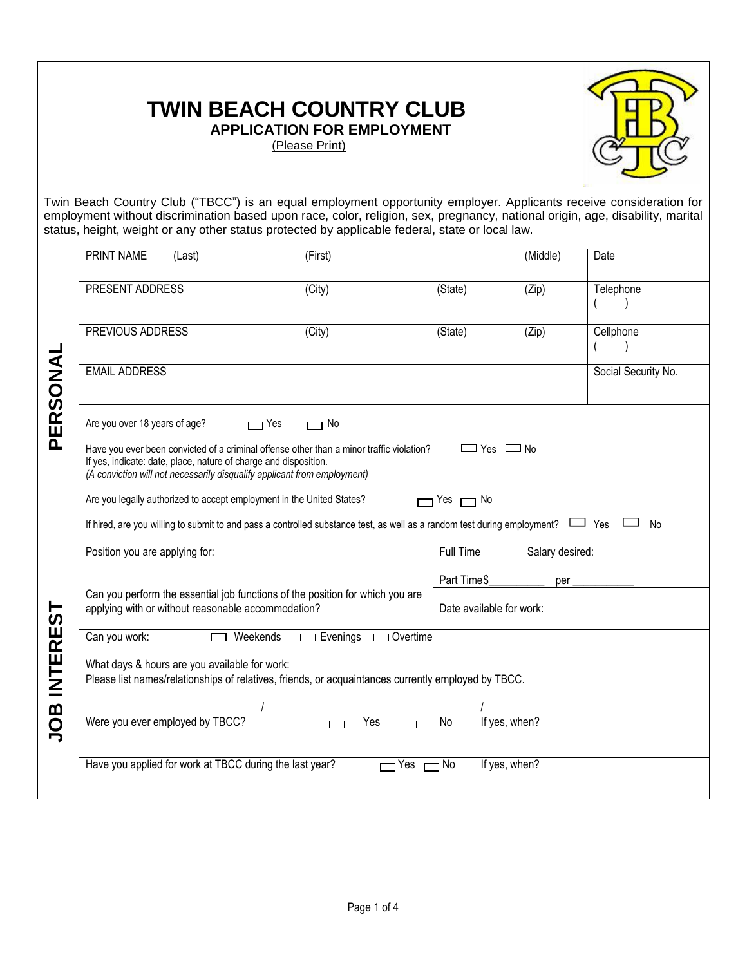## **TWIN BEACH COUNTRY CLUB APPLICATION FOR EMPLOYMENT**



(Please Print)

Twin Beach Country Club ("TBCC") is an equal employment opportunity employer. Applicants receive consideration for employment without discrimination based upon race, color, religion, sex, pregnancy, national origin, age, disability, marital status, height, weight or any other status protected by applicable federal, state or local law.

|               | <b>PRINT NAME</b><br>(Last)                                                                                                                                                                                                                                      | (First)                  |                       | (Middle)        | Date                |  |
|---------------|------------------------------------------------------------------------------------------------------------------------------------------------------------------------------------------------------------------------------------------------------------------|--------------------------|-----------------------|-----------------|---------------------|--|
| PERSONAL      |                                                                                                                                                                                                                                                                  |                          |                       |                 |                     |  |
|               | PRESENT ADDRESS                                                                                                                                                                                                                                                  | (City)                   | (State)               | (Zip)           | Telephone           |  |
|               | PREVIOUS ADDRESS                                                                                                                                                                                                                                                 | (City)                   | $\overline{S}(State)$ | (Zip)           | Cellphone           |  |
|               | <b>EMAIL ADDRESS</b>                                                                                                                                                                                                                                             |                          |                       |                 | Social Security No. |  |
|               | Are you over 18 years of age?<br>$\Box$ Yes                                                                                                                                                                                                                      | No                       |                       |                 |                     |  |
|               | Have you ever been convicted of a criminal offense other than a minor traffic violation?<br>$\Box$ Yes $\Box$ No<br>If yes, indicate: date, place, nature of charge and disposition.<br>(A conviction will not necessarily disqualify applicant from employment) |                          |                       |                 |                     |  |
|               | Are you legally authorized to accept employment in the United States?<br>Yes $\Box$ No                                                                                                                                                                           |                          |                       |                 |                     |  |
|               | If hired, are you willing to submit to and pass a controlled substance test, as well as a random test during employment?                                                                                                                                         |                          |                       |                 | No                  |  |
|               | Position you are applying for:                                                                                                                                                                                                                                   |                          | Full Time             | Salary desired: |                     |  |
|               | Can you perform the essential job functions of the position for which you are                                                                                                                                                                                    | Part Time\$<br>per       |                       |                 |                     |  |
| <u>ს</u>      | applying with or without reasonable accommodation?                                                                                                                                                                                                               | Date available for work: |                       |                 |                     |  |
| <b>INTERE</b> | Can you work:<br>$\Box$ Weekends                                                                                                                                                                                                                                 |                          |                       |                 |                     |  |
|               | What days & hours are you available for work:<br>Please list names/relationships of relatives, friends, or acquaintances currently employed by TBCC.                                                                                                             |                          |                       |                 |                     |  |
|               |                                                                                                                                                                                                                                                                  |                          |                       |                 |                     |  |
|               |                                                                                                                                                                                                                                                                  |                          |                       |                 |                     |  |
| JOB           | Were you ever employed by TBCC?                                                                                                                                                                                                                                  | Yes                      | If yes, when?<br>No   |                 |                     |  |
|               | Have you applied for work at TBCC during the last year?                                                                                                                                                                                                          | $\Box$ Yes               | If yes, when?<br>⊣ No |                 |                     |  |
|               |                                                                                                                                                                                                                                                                  |                          |                       |                 |                     |  |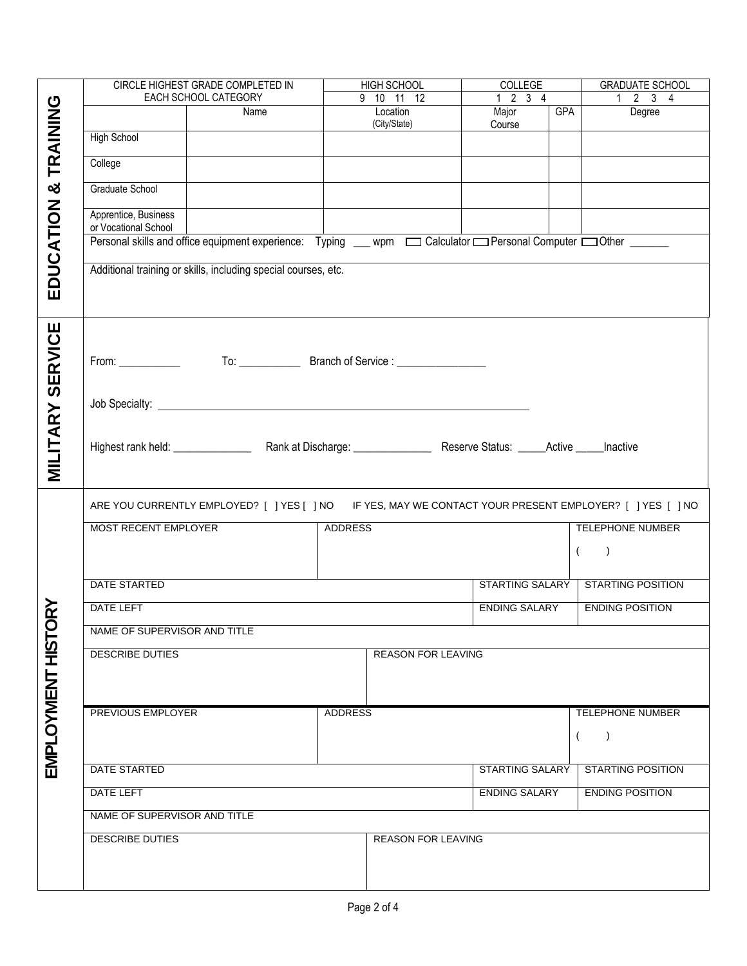|                        |                                                                                                         | CIRCLE HIGHEST GRADE COMPLETED IN                                                                          | HIGH SCHOOL              | COLLEGE                     | <b>GRADUATE SCHOOL</b>              |  |  |
|------------------------|---------------------------------------------------------------------------------------------------------|------------------------------------------------------------------------------------------------------------|--------------------------|-----------------------------|-------------------------------------|--|--|
|                        | EACH SCHOOL CATEGORY                                                                                    |                                                                                                            | 9 10 11 12               | $1 \quad 2 \quad 3 \quad 4$ | $\overline{1}$ 2 3 4                |  |  |
| TRAINING               |                                                                                                         | Name                                                                                                       | Location<br>(City/State) | Major<br>GPA<br>Course      | Degree                              |  |  |
|                        | <b>High School</b>                                                                                      |                                                                                                            |                          |                             |                                     |  |  |
|                        | College                                                                                                 |                                                                                                            |                          |                             |                                     |  |  |
| ×                      | Graduate School                                                                                         |                                                                                                            |                          |                             |                                     |  |  |
|                        | Apprentice, Business<br>or Vocational School                                                            |                                                                                                            |                          |                             |                                     |  |  |
|                        |                                                                                                         | Personal skills and office equipment experience: Typing __ wpm _ Calculator _Personal Computer _0ther ____ |                          |                             |                                     |  |  |
| EDUCATION              | Additional training or skills, including special courses, etc.                                          |                                                                                                            |                          |                             |                                     |  |  |
|                        |                                                                                                         |                                                                                                            |                          |                             |                                     |  |  |
| <b>SERVICE</b>         | $From: ____________$                                                                                    |                                                                                                            |                          |                             |                                     |  |  |
|                        |                                                                                                         |                                                                                                            |                          |                             |                                     |  |  |
|                        |                                                                                                         |                                                                                                            |                          |                             |                                     |  |  |
| <b>MILITARY</b>        |                                                                                                         |                                                                                                            |                          |                             |                                     |  |  |
|                        |                                                                                                         |                                                                                                            |                          |                             |                                     |  |  |
|                        |                                                                                                         |                                                                                                            |                          |                             |                                     |  |  |
|                        | ARE YOU CURRENTLY EMPLOYED? [ ] YES [ ] NO IF YES, MAY WE CONTACT YOUR PRESENT EMPLOYER? [ ] YES [ ] NO |                                                                                                            |                          |                             |                                     |  |  |
|                        | <b>MOST RECENT EMPLOYER</b>                                                                             |                                                                                                            | <b>TELEPHONE NUMBER</b>  |                             |                                     |  |  |
|                        |                                                                                                         |                                                                                                            |                          |                             | $\left($<br>$\rightarrow$           |  |  |
|                        | DATE STARTED                                                                                            |                                                                                                            |                          |                             | STARTING SALARY   STARTING POSITION |  |  |
| ≹<br>                  | <b>DATE LEFT</b>                                                                                        |                                                                                                            |                          | ENDING SALARY               | <b>ENDING POSITION</b>              |  |  |
|                        | NAME OF SUPERVISOR AND TITLE                                                                            |                                                                                                            |                          |                             |                                     |  |  |
| <b>DESCRIBE DUTIES</b> |                                                                                                         |                                                                                                            |                          | <b>REASON FOR LEAVING</b>   |                                     |  |  |
|                        |                                                                                                         |                                                                                                            |                          |                             |                                     |  |  |
|                        | PREVIOUS EMPLOYER                                                                                       |                                                                                                            | <b>ADDRESS</b>           |                             | TELEPHONE NUMBER                    |  |  |
| EMPLOYMENT HISTC       |                                                                                                         |                                                                                                            |                          |                             | $\left($<br>$\lambda$               |  |  |
|                        | DATE STARTED                                                                                            |                                                                                                            |                          | STARTING SALARY             | <b>STARTING POSITION</b>            |  |  |
|                        | DATE LEFT                                                                                               |                                                                                                            |                          | <b>ENDING SALARY</b>        | <b>ENDING POSITION</b>              |  |  |
|                        | NAME OF SUPERVISOR AND TITLE                                                                            |                                                                                                            |                          |                             |                                     |  |  |
|                        |                                                                                                         |                                                                                                            |                          |                             |                                     |  |  |
|                        | <b>DESCRIBE DUTIES</b>                                                                                  |                                                                                                            | REASON FOR LEAVING       |                             |                                     |  |  |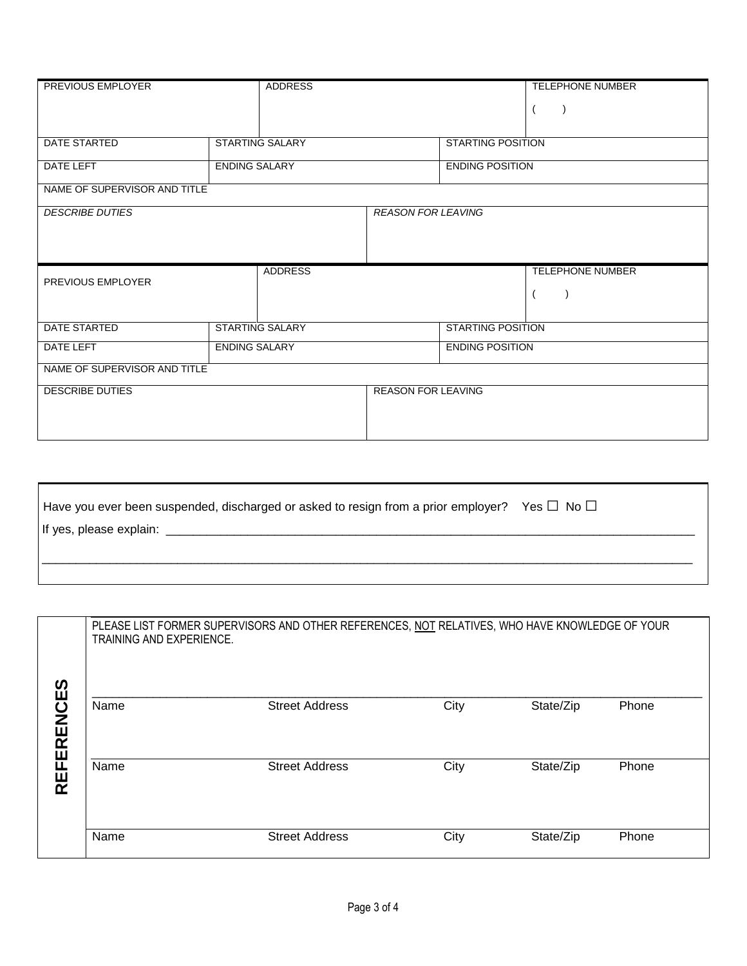| PREVIOUS EMPLOYER                        | ADDRESS                                |                           |                          | <b>TELEPHONE NUMBER</b> |
|------------------------------------------|----------------------------------------|---------------------------|--------------------------|-------------------------|
|                                          |                                        |                           |                          |                         |
|                                          |                                        |                           |                          |                         |
| DATE STARTED                             | <b>STARTING SALARY</b>                 | <b>STARTING POSITION</b>  |                          |                         |
| DATE LEFT                                | <b>ENDING SALARY</b>                   | <b>ENDING POSITION</b>    |                          |                         |
| NAME OF SUPERVISOR AND TITLE             |                                        |                           |                          |                         |
| <b>DESCRIBE DUTIES</b>                   |                                        | <b>REASON FOR LEAVING</b> |                          |                         |
|                                          |                                        |                           |                          |                         |
|                                          |                                        |                           |                          |                         |
| PREVIOUS EMPLOYER                        | <b>ADDRESS</b>                         |                           |                          | <b>TELEPHONE NUMBER</b> |
|                                          |                                        |                           |                          |                         |
|                                          |                                        |                           |                          |                         |
|                                          | DATE STARTED<br><b>STARTING SALARY</b> |                           | <b>STARTING POSITION</b> |                         |
| <b>DATE LEFT</b><br><b>ENDING SALARY</b> |                                        | <b>ENDING POSITION</b>    |                          |                         |
| NAME OF SUPERVISOR AND TITLE             |                                        |                           |                          |                         |
| <b>DESCRIBE DUTIES</b>                   |                                        | <b>REASON FOR LEAVING</b> |                          |                         |
|                                          |                                        |                           |                          |                         |
|                                          |                                        |                           |                          |                         |

| Have you ever been suspended, discharged or asked to resign from a prior employer? Yes $\Box$ No $\Box$ |  |
|---------------------------------------------------------------------------------------------------------|--|
|                                                                                                         |  |
|                                                                                                         |  |
|                                                                                                         |  |
|                                                                                                         |  |

|                       | PLEASE LIST FORMER SUPERVISORS AND OTHER REFERENCES, NOT RELATIVES, WHO HAVE KNOWLEDGE OF YOUR<br><b>TRAINING AND EXPERIENCE.</b> |                       |      |           |       |  |
|-----------------------|-----------------------------------------------------------------------------------------------------------------------------------|-----------------------|------|-----------|-------|--|
| <b>RENCES</b>         | Name                                                                                                                              | <b>Street Address</b> | City | State/Zip | Phone |  |
| Ш<br>щ<br>$R_{\rm E}$ | Name                                                                                                                              | <b>Street Address</b> | City | State/Zip | Phone |  |
|                       | Name                                                                                                                              | <b>Street Address</b> | City | State/Zip | Phone |  |